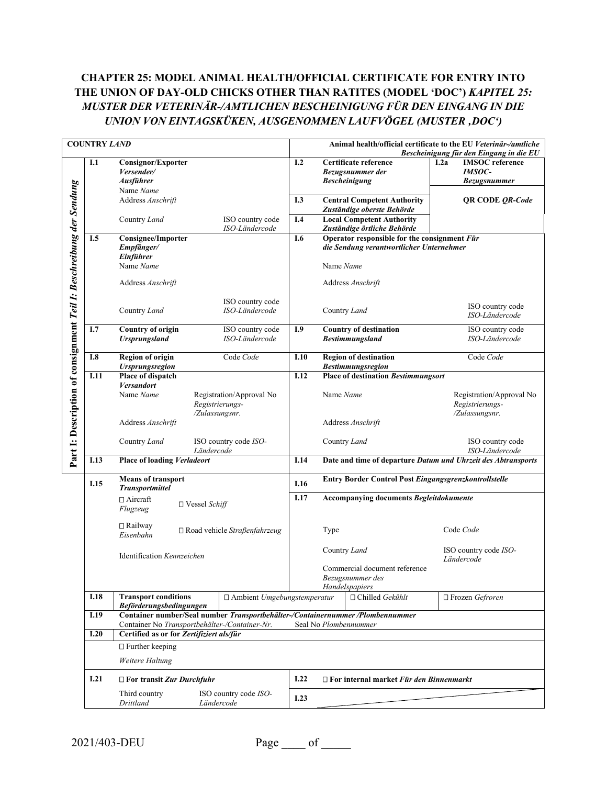# **CHAPTER 25: MODEL ANIMAL HEALTH/OFFICIAL CERTIFICATE FOR ENTRY INTO THE UNION OF DAY-OLD CHICKS OTHER THAN RATITES (MODEL 'DOC')** *KAPITEL 25: MUSTER DER VETERINÄR-/AMTLICHEN BESCHEINIGUNG FÜR DEN EINGANG IN DIE UNION VON EINTAGSKÜKEN, AUSGENOMMEN LAUFVÖGEL (MUSTER 'DOC')*

|                                                                     | <b>COUNTRY LAND</b>                                                       |                                                                                                                                 |                                             | Animal health/official certificate to the EU Veterinär-/amtliche<br>Bescheinigung für den Eingang in die EU |                                                                                          |                                                                                            |                                                                        |  |  |
|---------------------------------------------------------------------|---------------------------------------------------------------------------|---------------------------------------------------------------------------------------------------------------------------------|---------------------------------------------|-------------------------------------------------------------------------------------------------------------|------------------------------------------------------------------------------------------|--------------------------------------------------------------------------------------------|------------------------------------------------------------------------|--|--|
|                                                                     | I.1                                                                       | Consignor/Exporter<br>Versender/<br><b>Ausführer</b><br>Name Name                                                               |                                             | I.2                                                                                                         |                                                                                          | Certificate reference<br>Bezugsnummer der<br><b>Bescheinigung</b>                          | <b>IMSOC</b> reference<br>1.2a<br><b>IMSOC-</b><br><b>Bezugsnummer</b> |  |  |
|                                                                     |                                                                           | Address Anschrift                                                                                                               |                                             | I.3                                                                                                         |                                                                                          | <b>Central Competent Authority</b><br><b>QR CODE OR-Code</b><br>Zuständige oberste Behörde |                                                                        |  |  |
|                                                                     |                                                                           | Country Land                                                                                                                    | ISO country code<br>ISO-Ländercode          | I.4                                                                                                         |                                                                                          | <b>Local Competent Authority</b><br>Zuständige örtliche Behörde                            |                                                                        |  |  |
|                                                                     | I.5                                                                       | <b>Consignee/Importer</b><br>Empfänger/<br>Einführer                                                                            |                                             | I.6                                                                                                         | Operator responsible for the consignment Für<br>die Sendung verantwortlicher Unternehmer |                                                                                            |                                                                        |  |  |
|                                                                     |                                                                           | Name Name                                                                                                                       |                                             | Name Name                                                                                                   |                                                                                          |                                                                                            |                                                                        |  |  |
|                                                                     |                                                                           | Address Anschrift                                                                                                               |                                             |                                                                                                             |                                                                                          | Address Anschrift                                                                          |                                                                        |  |  |
| Part I: Description of consignment Teil I: Beschreibung der Sendung |                                                                           | Country Land                                                                                                                    | ISO country code<br>ISO-Ländercode          | Country Land                                                                                                |                                                                                          |                                                                                            | ISO country code<br>ISO-Ländercode                                     |  |  |
|                                                                     | I.7                                                                       | <b>Country of origin</b><br><b>Ursprungsland</b>                                                                                | ISO country code<br>ISO-Ländercode          | I.9                                                                                                         |                                                                                          | <b>Country of destination</b><br><b>Bestimmungsland</b>                                    | ISO country code<br>ISO-Ländercode                                     |  |  |
|                                                                     | I.8                                                                       | <b>Region of origin</b><br><b>Ursprungsregion</b>                                                                               | Code Code                                   | I.10                                                                                                        |                                                                                          | <b>Region of destination</b><br><b>Bestimmungsregion</b>                                   | Code Code                                                              |  |  |
|                                                                     | I.11                                                                      | Place of dispatch<br><b>Versandort</b>                                                                                          |                                             | I.12                                                                                                        | <b>Place of destination Bestimmungsort</b>                                               |                                                                                            |                                                                        |  |  |
|                                                                     |                                                                           | Name Name<br>/Zulassungsnr.                                                                                                     | Registration/Approval No<br>Registrierungs- |                                                                                                             | Name Name                                                                                |                                                                                            | Registration/Approval No<br>Registrierungs-<br>/Zulassungsnr.          |  |  |
|                                                                     |                                                                           | Address Anschrift                                                                                                               |                                             |                                                                                                             |                                                                                          | Address Anschrift                                                                          |                                                                        |  |  |
|                                                                     |                                                                           | Country Land<br>ISO country code ISO-<br>Ländercode                                                                             |                                             |                                                                                                             | ISO country code<br>Country Land<br>ISO-Ländercode                                       |                                                                                            |                                                                        |  |  |
|                                                                     | I.13                                                                      | <b>Place of loading Verladeort</b>                                                                                              |                                             | Date and time of departure Datum und Uhrzeit des Abtransports<br>I.14                                       |                                                                                          |                                                                                            |                                                                        |  |  |
|                                                                     | I.15                                                                      | <b>Means of transport</b><br><b>Transportmittel</b>                                                                             |                                             | Entry Border Control Post Eingangsgrenzkontrollstelle<br>I.16                                               |                                                                                          |                                                                                            |                                                                        |  |  |
|                                                                     |                                                                           | $\Box$ Aircraft<br>$\Box$ Vessel Schiff<br>Flugzeug                                                                             |                                             | I.17                                                                                                        | Accompanying documents Begleitdokumente                                                  |                                                                                            |                                                                        |  |  |
|                                                                     |                                                                           | $\Box$ Railway<br>Eisenbahn                                                                                                     | $\Box$ Road vehicle Straßenfahrzeug         |                                                                                                             | Type                                                                                     |                                                                                            | Code Code                                                              |  |  |
|                                                                     | Identification Kennzeichen                                                |                                                                                                                                 |                                             |                                                                                                             | Country Land<br>Commercial document reference<br>Bezugsnummer des<br>Handelspapiers      |                                                                                            | ISO country code ISO-<br>Ländercode                                    |  |  |
|                                                                     | <b>I.18</b>                                                               | <b>Transport conditions</b><br><b>Beförderungsbedingungen</b>                                                                   | □ Ambient Umgebungstemperatur               |                                                                                                             |                                                                                          | $\Box$ Chilled Gekühlt                                                                     | □ Frozen Gefroren                                                      |  |  |
|                                                                     | I.19                                                                      | Container number/Seal number Transportbehälter-/Containernummer /Plombennummer<br>Container No Transportbehälter-/Container-Nr. |                                             |                                                                                                             |                                                                                          | Seal No Plombennummer                                                                      |                                                                        |  |  |
|                                                                     | I.20                                                                      | Certified as or for Zertifiziert als/für                                                                                        |                                             |                                                                                                             |                                                                                          |                                                                                            |                                                                        |  |  |
|                                                                     |                                                                           | $\Box$ Further keeping<br>Weitere Haltung                                                                                       |                                             |                                                                                                             |                                                                                          |                                                                                            |                                                                        |  |  |
|                                                                     | I.21                                                                      | $\Box$ For transit Zur Durchfuhr                                                                                                |                                             | I.22                                                                                                        |                                                                                          | $\Box$ For internal market Für den Binnenmarkt                                             |                                                                        |  |  |
|                                                                     | Third country<br>ISO country code ISO-<br>I.23<br>Drittland<br>Ländercode |                                                                                                                                 |                                             |                                                                                                             |                                                                                          |                                                                                            |                                                                        |  |  |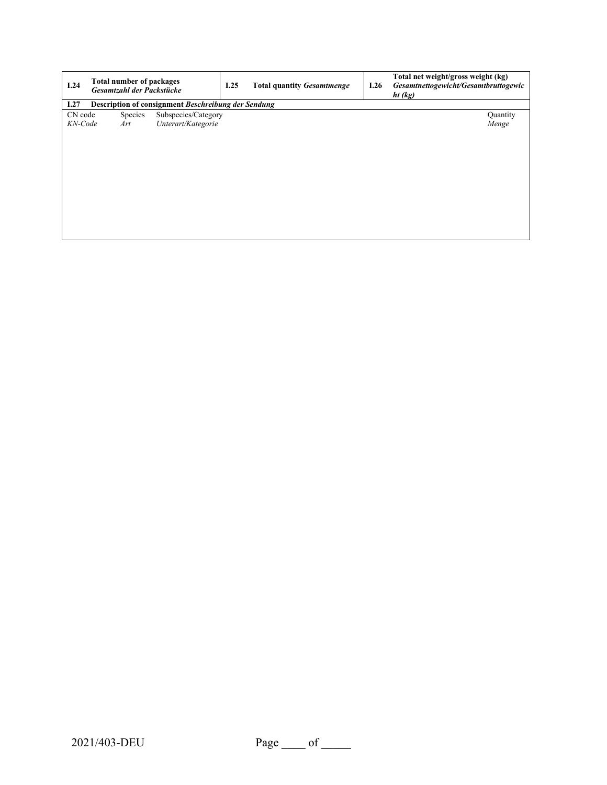| I.24    | Total number of packages<br>Gesamtzahl der Packstücke |                                                     |  | <b>Total quantity Gesamtmenge</b> | I.26 | Total net weight/gross weight (kg)<br>Gesamtnettogewicht/Gesamtbruttogewic<br>ht (kg) |
|---------|-------------------------------------------------------|-----------------------------------------------------|--|-----------------------------------|------|---------------------------------------------------------------------------------------|
| I.27    |                                                       | Description of consignment Beschreibung der Sendung |  |                                   |      |                                                                                       |
| CN code | Species                                               | Subspecies/Category                                 |  |                                   |      | Quantity                                                                              |
| KN-Code | Art                                                   | Unterart/Kategorie                                  |  |                                   |      | Menge                                                                                 |
|         |                                                       |                                                     |  |                                   |      |                                                                                       |
|         |                                                       |                                                     |  |                                   |      |                                                                                       |
|         |                                                       |                                                     |  |                                   |      |                                                                                       |
|         |                                                       |                                                     |  |                                   |      |                                                                                       |
|         |                                                       |                                                     |  |                                   |      |                                                                                       |
|         |                                                       |                                                     |  |                                   |      |                                                                                       |
|         |                                                       |                                                     |  |                                   |      |                                                                                       |
|         |                                                       |                                                     |  |                                   |      |                                                                                       |
|         |                                                       |                                                     |  |                                   |      |                                                                                       |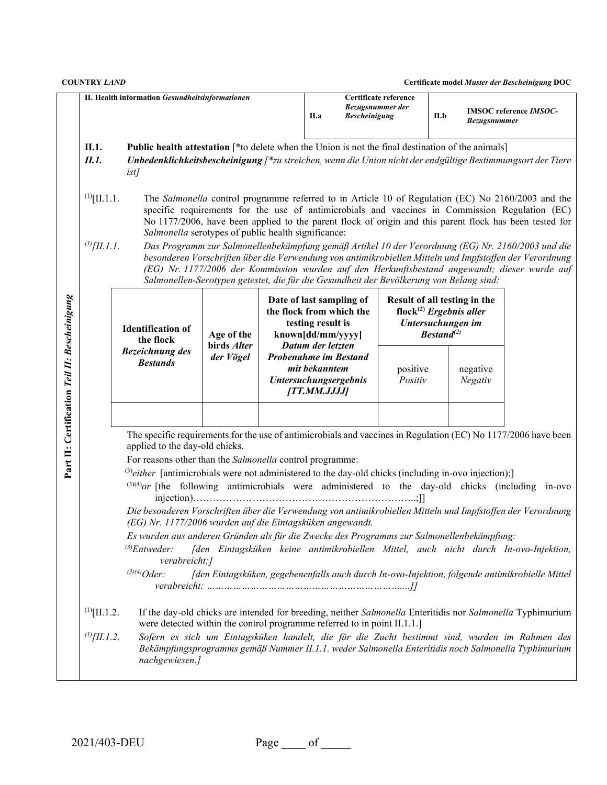|                                               |                                        | II. Health information Gesundheitsinformationen                                                                                                                                                                                                                                                                                                                                                                                                                                                                                                                                                                                                                                                                                                                                                                                                                                                                                                                                                                                                                                                                                                                                                                                                                                                                                                                                      |                           |  | II.a                                                                                                                                         | Bezugsnummer der<br><b>Bescheinigung</b> | Certificate reference                                                                                                                                                                                                                                                                                                                                                                                                                                                                                                                                                                                                            | II.b | Bezugsnummer        | <b>IMSOC</b> reference <i>IMSOC</i> - |
|-----------------------------------------------|----------------------------------------|--------------------------------------------------------------------------------------------------------------------------------------------------------------------------------------------------------------------------------------------------------------------------------------------------------------------------------------------------------------------------------------------------------------------------------------------------------------------------------------------------------------------------------------------------------------------------------------------------------------------------------------------------------------------------------------------------------------------------------------------------------------------------------------------------------------------------------------------------------------------------------------------------------------------------------------------------------------------------------------------------------------------------------------------------------------------------------------------------------------------------------------------------------------------------------------------------------------------------------------------------------------------------------------------------------------------------------------------------------------------------------------|---------------------------|--|----------------------------------------------------------------------------------------------------------------------------------------------|------------------------------------------|----------------------------------------------------------------------------------------------------------------------------------------------------------------------------------------------------------------------------------------------------------------------------------------------------------------------------------------------------------------------------------------------------------------------------------------------------------------------------------------------------------------------------------------------------------------------------------------------------------------------------------|------|---------------------|---------------------------------------|
|                                               | II.1.<br>II.1.                         | <b>Public health attestation</b> [*to delete when the Union is not the final destination of the animals]<br>Unbedenklichkeitsbescheinigung [*zu streichen, wenn die Union nicht der endgültige Bestimmungsort der Tiere<br><i>ist]</i>                                                                                                                                                                                                                                                                                                                                                                                                                                                                                                                                                                                                                                                                                                                                                                                                                                                                                                                                                                                                                                                                                                                                               |                           |  |                                                                                                                                              |                                          |                                                                                                                                                                                                                                                                                                                                                                                                                                                                                                                                                                                                                                  |      |                     |                                       |
|                                               | $^{(1)}$ [II.1.1.<br>$^{(l)}[II.1.1]$  | Salmonella serotypes of public health significance:<br>Salmonellen-Serotypen getestet, die für die Gesundheit der Bevölkerung von Belang sind:                                                                                                                                                                                                                                                                                                                                                                                                                                                                                                                                                                                                                                                                                                                                                                                                                                                                                                                                                                                                                                                                                                                                                                                                                                       |                           |  |                                                                                                                                              |                                          | The Salmonella control programme referred to in Article 10 of Regulation (EC) No 2160/2003 and the<br>specific requirements for the use of antimicrobials and vaccines in Commission Regulation (EC)<br>No 1177/2006, have been applied to the parent flock of origin and this parent flock has been tested for<br>Das Programm zur Salmonellenbekämpfung gemäß Artikel 10 der Verordnung (EG) Nr. 2160/2003 und die<br>besonderen Vorschriften über die Verwendung von antimikrobiellen Mitteln und Impfstoffen der Verordnung<br>(EG) Nr. 1177/2006 der Kommission wurden auf den Herkunftsbestand angewandt; dieser wurde auf |      |                     |                                       |
|                                               |                                        | <b>Identification of</b><br>the flock<br><b>Bezeichnung</b> des                                                                                                                                                                                                                                                                                                                                                                                                                                                                                                                                                                                                                                                                                                                                                                                                                                                                                                                                                                                                                                                                                                                                                                                                                                                                                                                      | Age of the<br>birds Alter |  | Date of last sampling of<br>the flock from which the<br>testing result is<br>known[dd/mm/yyyy]<br>Datum der letzten<br>Probenahme im Bestand |                                          | Result of all testing in the<br>flock <sup>(2)</sup> Ergebnis aller<br>Untersuchungen im<br>Bestand <sup>(2)</sup>                                                                                                                                                                                                                                                                                                                                                                                                                                                                                                               |      |                     |                                       |
|                                               |                                        | <b>Bestands</b>                                                                                                                                                                                                                                                                                                                                                                                                                                                                                                                                                                                                                                                                                                                                                                                                                                                                                                                                                                                                                                                                                                                                                                                                                                                                                                                                                                      | der Vögel                 |  | mit bekanntem<br>Untersuchungsergebnis<br>[TT.MM.JJJJ]                                                                                       |                                          | positive<br>Positiv                                                                                                                                                                                                                                                                                                                                                                                                                                                                                                                                                                                                              |      | negative<br>Negativ |                                       |
| Part II: Certification Teil II: Bescheinigung | $^{(1)}$ [II.1.2.<br>$^{(1)}$ [II.1.2. | The specific requirements for the use of antimicrobials and vaccines in Regulation (EC) No 1177/2006 have been<br>applied to the day-old chicks.<br>For reasons other than the Salmonella control programme:<br>$^{(3)}$ either [antimicrobials were not administered to the day-old chicks (including in-ovo injection);]<br>$^{(3)(4)}$ or [the following antimicrobials were administered to the day-old chicks (including in-ovo<br>Die besonderen Vorschriften über die Verwendung von antimikrobiellen Mitteln und Impfstoffen der Verordnung<br>(EG) Nr. 1177/2006 wurden auf die Eintagsküken angewandt.<br>Es wurden aus anderen Gründen als für die Zwecke des Programms zur Salmonellenbekämpfung:<br>$^{(3)}$ Entweder:<br>[den Eintagsküken keine antimikrobiellen Mittel, auch nicht durch In-ovo-Injektion,<br>verabreicht;]<br>$^{(3)(4)}Oder:$<br>[den Eintagsküken, gegebenenfalls auch durch In-ovo-Injektion, folgende antimikrobielle Mittel<br>If the day-old chicks are intended for breeding, neither Salmonella Enteritidis nor Salmonella Typhimurium<br>were detected within the control programme referred to in point II.1.1.]<br>Sofern es sich um Eintagsküken handelt, die für die Zucht bestimmt sind, wurden im Rahmen des<br>Bekämpfungsprogramms gemäß Nummer II.1.1. weder Salmonella Enteritidis noch Salmonella Typhimurium<br>nachgewiesen.] |                           |  |                                                                                                                                              |                                          |                                                                                                                                                                                                                                                                                                                                                                                                                                                                                                                                                                                                                                  |      |                     |                                       |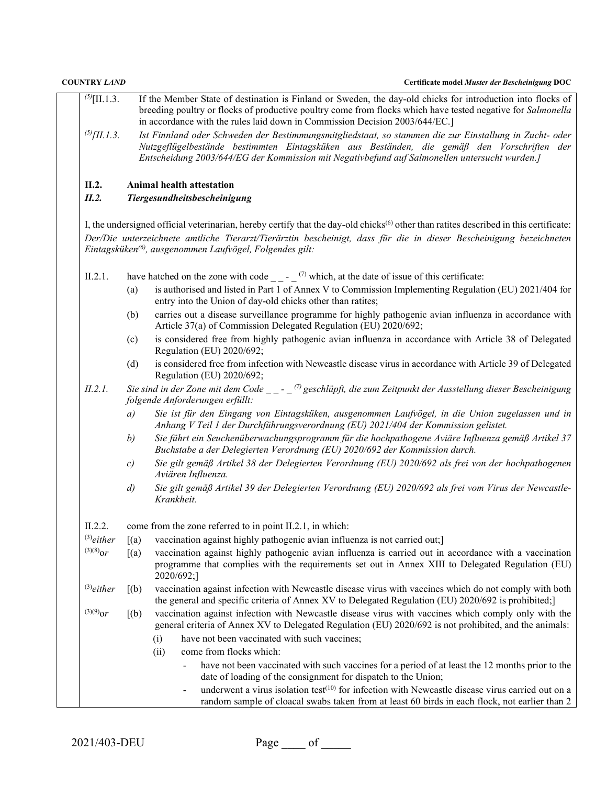| <b>COUNTRY LAND</b> |                    | Certificate model Muster der Bescheinigung DOC                                                                                                                                                                                                                                                            |  |  |  |  |
|---------------------|--------------------|-----------------------------------------------------------------------------------------------------------------------------------------------------------------------------------------------------------------------------------------------------------------------------------------------------------|--|--|--|--|
| $^{(5)}$ [II.1.3.   |                    | If the Member State of destination is Finland or Sweden, the day-old chicks for introduction into flocks of<br>breeding poultry or flocks of productive poultry come from flocks which have tested negative for Salmonella<br>in accordance with the rules laid down in Commission Decision 2003/644/EC.] |  |  |  |  |
| $^{(5)}$ [II.1.3.   |                    | Ist Finnland oder Schweden der Bestimmungsmitgliedstaat, so stammen die zur Einstallung in Zucht- oder<br>Nutzgeflügelbestände bestimmten Eintagsküken aus Beständen, die gemäß den Vorschriften der<br>Entscheidung 2003/644/EG der Kommission mit Negativbefund auf Salmonellen untersucht wurden.]     |  |  |  |  |
| II.2.<br>II.2.      |                    | Animal health attestation<br>Tiergesundheitsbescheinigung                                                                                                                                                                                                                                                 |  |  |  |  |
|                     |                    | I, the undersigned official veterinarian, hereby certify that the day-old chicks <sup>(6)</sup> other than ratites described in this certificate:                                                                                                                                                         |  |  |  |  |
|                     |                    | Der/Die unterzeichnete amtliche Tierarzt/Tierärztin bescheinigt, dass für die in dieser Bescheinigung bezeichneten<br>Eintagsküken <sup>(6)</sup> , ausgenommen Laufvögel, Folgendes gilt:                                                                                                                |  |  |  |  |
| II.2.1.             |                    | have hatched on the zone with code $\frac{1}{2}$ - $\frac{1}{2}$ which, at the date of issue of this certificate:                                                                                                                                                                                         |  |  |  |  |
|                     | (a)                | is authorised and listed in Part 1 of Annex V to Commission Implementing Regulation (EU) 2021/404 for<br>entry into the Union of day-old chicks other than ratites;                                                                                                                                       |  |  |  |  |
|                     | (b)                | carries out a disease surveillance programme for highly pathogenic avian influenza in accordance with<br>Article 37(a) of Commission Delegated Regulation (EU) 2020/692;                                                                                                                                  |  |  |  |  |
|                     | (c)                | is considered free from highly pathogenic avian influenza in accordance with Article 38 of Delegated<br>Regulation (EU) 2020/692;                                                                                                                                                                         |  |  |  |  |
|                     | (d)                | is considered free from infection with Newcastle disease virus in accordance with Article 39 of Delegated<br>Regulation (EU) 2020/692;                                                                                                                                                                    |  |  |  |  |
| II.2.1.             |                    | Sie sind in der Zone mit dem Code $\qquad -$ (7) geschlüpft, die zum Zeitpunkt der Ausstellung dieser Bescheinigung<br>folgende Anforderungen erfüllt:                                                                                                                                                    |  |  |  |  |
|                     | a)                 | Sie ist für den Eingang von Eintagsküken, ausgenommen Laufvögel, in die Union zugelassen und in<br>Anhang V Teil 1 der Durchführungsverordnung (EU) 2021/404 der Kommission gelistet.                                                                                                                     |  |  |  |  |
|                     | b)                 | Sie führt ein Seuchenüberwachungsprogramm für die hochpathogene Aviäre Influenza gemäß Artikel 37<br>Buchstabe a der Delegierten Verordnung (EU) 2020/692 der Kommission durch.                                                                                                                           |  |  |  |  |
|                     | c)                 | Sie gilt gemäß Artikel 38 der Delegierten Verordnung (EU) 2020/692 als frei von der hochpathogenen<br>Aviären Influenza.                                                                                                                                                                                  |  |  |  |  |
|                     | $\left( d \right)$ | Sie gilt gemäß Artikel 39 der Delegierten Verordnung (EU) 2020/692 als frei vom Virus der Newcastle-<br>Krankheit.                                                                                                                                                                                        |  |  |  |  |
| II.2.2.             |                    | come from the zone referred to in point II.2.1, in which:                                                                                                                                                                                                                                                 |  |  |  |  |
| $^{(3)}$ either     | (a)                | vaccination against highly pathogenic avian influenza is not carried out;]                                                                                                                                                                                                                                |  |  |  |  |
| $^{(3)(8)}$ or      | (a)                | vaccination against highly pathogenic avian influenza is carried out in accordance with a vaccination<br>programme that complies with the requirements set out in Annex XIII to Delegated Regulation (EU)<br>2020/692;]                                                                                   |  |  |  |  |
| $^{(3)}$ either     | (a)                | vaccination against infection with Newcastle disease virus with vaccines which do not comply with both<br>the general and specific criteria of Annex XV to Delegated Regulation (EU) 2020/692 is prohibited;]                                                                                             |  |  |  |  |
| $^{(3)(9)}$ or      | [(b)]              | vaccination against infection with Newcastle disease virus with vaccines which comply only with the<br>general criteria of Annex XV to Delegated Regulation (EU) 2020/692 is not prohibited, and the animals:                                                                                             |  |  |  |  |
|                     |                    | have not been vaccinated with such vaccines;<br>(i)                                                                                                                                                                                                                                                       |  |  |  |  |
|                     |                    | come from flocks which:<br>(ii)                                                                                                                                                                                                                                                                           |  |  |  |  |
|                     |                    | have not been vaccinated with such vaccines for a period of at least the 12 months prior to the<br>date of loading of the consignment for dispatch to the Union;                                                                                                                                          |  |  |  |  |
|                     |                    | underwent a virus isolation test <sup>(10)</sup> for infection with Newcastle disease virus carried out on a<br>random sample of cloacal swabs taken from at least 60 birds in each flock, not earlier than 2                                                                                             |  |  |  |  |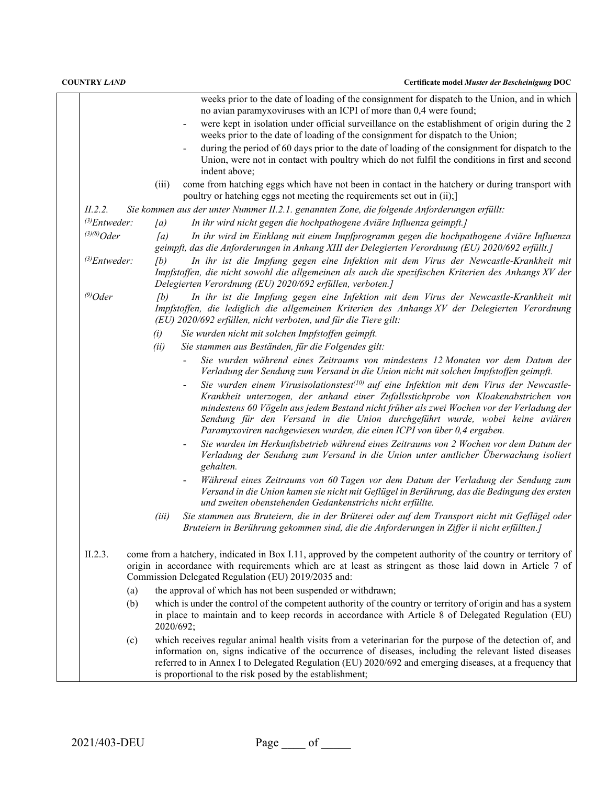|                    | weeks prior to the date of loading of the consignment for dispatch to the Union, and in which<br>no avian paramyxoviruses with an ICPI of more than 0,4 were found;                                                                                                                                                                                                                                                                                |
|--------------------|----------------------------------------------------------------------------------------------------------------------------------------------------------------------------------------------------------------------------------------------------------------------------------------------------------------------------------------------------------------------------------------------------------------------------------------------------|
|                    | were kept in isolation under official surveillance on the establishment of origin during the 2<br>weeks prior to the date of loading of the consignment for dispatch to the Union;                                                                                                                                                                                                                                                                 |
|                    | during the period of 60 days prior to the date of loading of the consignment for dispatch to the<br>Union, were not in contact with poultry which do not fulfil the conditions in first and second                                                                                                                                                                                                                                                 |
|                    | indent above;<br>come from hatching eggs which have not been in contact in the hatchery or during transport with<br>(iii)                                                                                                                                                                                                                                                                                                                          |
|                    | poultry or hatching eggs not meeting the requirements set out in (ii);                                                                                                                                                                                                                                                                                                                                                                             |
| II.2.2.            | Sie kommen aus der unter Nummer II.2.1. genannten Zone, die folgende Anforderungen erfüllt:                                                                                                                                                                                                                                                                                                                                                        |
| $^{(3)}$ Entweder: | In ihr wird nicht gegen die hochpathogene Aviäre Influenza geimpft.]<br>(a)                                                                                                                                                                                                                                                                                                                                                                        |
| $^{(3)(8)}Oder$    | [a]<br>In ihr wird im Einklang mit einem Impfprogramm gegen die hochpathogene Aviäre Influenza<br>geimpft, das die Anforderungen in Anhang XIII der Delegierten Verordnung (EU) 2020/692 erfüllt.]                                                                                                                                                                                                                                                 |
| $^{(3)}$ Entweder: | (b)<br>In ihr ist die Impfung gegen eine Infektion mit dem Virus der Newcastle-Krankheit mit<br>Impfstoffen, die nicht sowohl die allgemeinen als auch die spezifischen Kriterien des Anhangs XV der<br>Delegierten Verordnung (EU) 2020/692 erfüllen, verboten.]                                                                                                                                                                                  |
| $^{(9)}$ Oder      | In ihr ist die Impfung gegen eine Infektion mit dem Virus der Newcastle-Krankheit mit<br>(b)<br>Impfstoffen, die lediglich die allgemeinen Kriterien des Anhangs XV der Delegierten Verordnung<br>(EU) 2020/692 erfüllen, nicht verboten, und für die Tiere gilt:                                                                                                                                                                                  |
|                    | Sie wurden nicht mit solchen Impfstoffen geimpft.<br>(i)                                                                                                                                                                                                                                                                                                                                                                                           |
|                    | (ii)<br>Sie stammen aus Beständen, für die Folgendes gilt:                                                                                                                                                                                                                                                                                                                                                                                         |
|                    | Sie wurden während eines Zeitraums von mindestens 12 Monaten vor dem Datum der<br>Verladung der Sendung zum Versand in die Union nicht mit solchen Impfstoffen geimpft.                                                                                                                                                                                                                                                                            |
|                    | Sie wurden einem Virusisolationstest <sup>(10)</sup> auf eine Infektion mit dem Virus der Newcastle-<br>Krankheit unterzogen, der anhand einer Zufallsstichprobe von Kloakenabstrichen von<br>mindestens 60 Vögeln aus jedem Bestand nicht früher als zwei Wochen vor der Verladung der<br>Sendung für den Versand in die Union durchgeführt wurde, wobei keine aviären<br>Paramyxoviren nachgewiesen wurden, die einen ICPI von über 0,4 ergaben. |
|                    | Sie wurden im Herkunftsbetrieb während eines Zeitraums von 2 Wochen vor dem Datum der<br>$\blacksquare$<br>Verladung der Sendung zum Versand in die Union unter amtlicher Überwachung isoliert<br>gehalten.                                                                                                                                                                                                                                        |
|                    | Während eines Zeitraums von 60 Tagen vor dem Datum der Verladung der Sendung zum<br>Versand in die Union kamen sie nicht mit Geflügel in Berührung, das die Bedingung des ersten<br>und zweiten obenstehenden Gedankenstrichs nicht erfüllte.                                                                                                                                                                                                      |
|                    | Sie stammen aus Bruteiern, die in der Brüterei oder auf dem Transport nicht mit Geflügel oder<br>(iii)<br>Bruteiern in Berührung gekommen sind, die die Anforderungen in Ziffer ii nicht erfüllten.]                                                                                                                                                                                                                                               |
| II.2.3.            | come from a hatchery, indicated in Box I.11, approved by the competent authority of the country or territory of<br>origin in accordance with requirements which are at least as stringent as those laid down in Article 7 of<br>Commission Delegated Regulation (EU) 2019/2035 and:                                                                                                                                                                |
| (a)                | the approval of which has not been suspended or withdrawn;                                                                                                                                                                                                                                                                                                                                                                                         |
| (b)                | which is under the control of the competent authority of the country or territory of origin and has a system                                                                                                                                                                                                                                                                                                                                       |
|                    | in place to maintain and to keep records in accordance with Article 8 of Delegated Regulation (EU)<br>2020/692;                                                                                                                                                                                                                                                                                                                                    |
| (c)                | which receives regular animal health visits from a veterinarian for the purpose of the detection of, and<br>information on, signs indicative of the occurrence of diseases, including the relevant listed diseases<br>referred to in Annex I to Delegated Regulation (EU) 2020/692 and emerging diseases, at a frequency that<br>is proportional to the risk posed by the establishment;                                                           |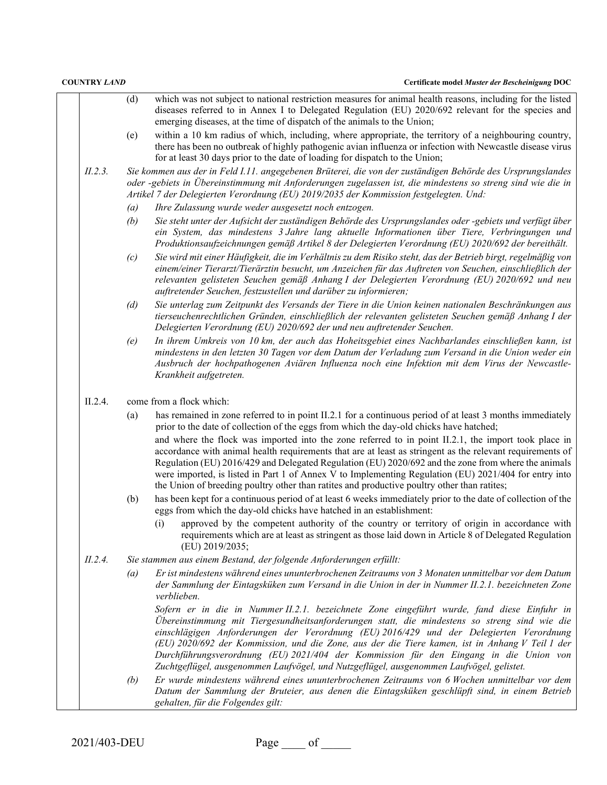| <b>COUNTRY LAND</b> |         |     | Certificate model Muster der Bescheinigung DOC                                                                                                                                                                                                                                                                                                                                                                                                                                                                                   |
|---------------------|---------|-----|----------------------------------------------------------------------------------------------------------------------------------------------------------------------------------------------------------------------------------------------------------------------------------------------------------------------------------------------------------------------------------------------------------------------------------------------------------------------------------------------------------------------------------|
|                     |         | (d) | which was not subject to national restriction measures for animal health reasons, including for the listed<br>diseases referred to in Annex I to Delegated Regulation (EU) 2020/692 relevant for the species and<br>emerging diseases, at the time of dispatch of the animals to the Union;                                                                                                                                                                                                                                      |
|                     |         | (e) | within a 10 km radius of which, including, where appropriate, the territory of a neighbouring country,<br>there has been no outbreak of highly pathogenic avian influenza or infection with Newcastle disease virus<br>for at least 30 days prior to the date of loading for dispatch to the Union;                                                                                                                                                                                                                              |
|                     | II.2.3. |     | Sie kommen aus der in Feld I.11. angegebenen Brüterei, die von der zuständigen Behörde des Ursprungslandes<br>oder -gebiets in Übereinstimmung mit Anforderungen zugelassen ist, die mindestens so streng sind wie die in<br>Artikel 7 der Delegierten Verordnung (EU) 2019/2035 der Kommission festgelegten. Und:                                                                                                                                                                                                               |
|                     |         | (a) | Ihre Zulassung wurde weder ausgesetzt noch entzogen.                                                                                                                                                                                                                                                                                                                                                                                                                                                                             |
|                     |         | (b) | Sie steht unter der Aufsicht der zuständigen Behörde des Ursprungslandes oder -gebiets und verfügt über<br>ein System, das mindestens 3 Jahre lang aktuelle Informationen über Tiere, Verbringungen und<br>Produktionsaufzeichnungen gemäß Artikel 8 der Delegierten Verordnung (EU) 2020/692 der bereithält.                                                                                                                                                                                                                    |
|                     |         | (c) | Sie wird mit einer Häufigkeit, die im Verhältnis zu dem Risiko steht, das der Betrieb birgt, regelmäßig von<br>einem/einer Tierarzt/Tierärztin besucht, um Anzeichen für das Auftreten von Seuchen, einschließlich der<br>relevanten gelisteten Seuchen gemäß Anhang I der Delegierten Verordnung (EU) 2020/692 und neu<br>auftretender Seuchen, festzustellen und darüber zu informieren;                                                                                                                                       |
|                     |         | (d) | Sie unterlag zum Zeitpunkt des Versands der Tiere in die Union keinen nationalen Beschränkungen aus<br>tierseuchenrechtlichen Gründen, einschließlich der relevanten gelisteten Seuchen gemäß Anhang I der<br>Delegierten Verordnung (EU) 2020/692 der und neu auftretender Seuchen.                                                                                                                                                                                                                                             |
|                     |         | (e) | In ihrem Umkreis von 10 km, der auch das Hoheitsgebiet eines Nachbarlandes einschließen kann, ist<br>mindestens in den letzten 30 Tagen vor dem Datum der Verladung zum Versand in die Union weder ein<br>Ausbruch der hochpathogenen Aviären Influenza noch eine Infektion mit dem Virus der Newcastle-<br>Krankheit aufgetreten.                                                                                                                                                                                               |
|                     | II.2.4. |     | come from a flock which:                                                                                                                                                                                                                                                                                                                                                                                                                                                                                                         |
|                     |         | (a) | has remained in zone referred to in point II.2.1 for a continuous period of at least 3 months immediately<br>prior to the date of collection of the eggs from which the day-old chicks have hatched;                                                                                                                                                                                                                                                                                                                             |
|                     |         |     | and where the flock was imported into the zone referred to in point II.2.1, the import took place in<br>accordance with animal health requirements that are at least as stringent as the relevant requirements of<br>Regulation (EU) 2016/429 and Delegated Regulation (EU) 2020/692 and the zone from where the animals<br>were imported, is listed in Part 1 of Annex V to Implementing Regulation (EU) 2021/404 for entry into<br>the Union of breeding poultry other than ratites and productive poultry other than ratites; |
|                     |         | (b) | has been kept for a continuous period of at least 6 weeks immediately prior to the date of collection of the<br>eggs from which the day-old chicks have hatched in an establishment:                                                                                                                                                                                                                                                                                                                                             |
|                     |         |     | approved by the competent authority of the country or territory of origin in accordance with<br>(i)<br>requirements which are at least as stringent as those laid down in Article 8 of Delegated Regulation<br>(EU) 2019/2035;                                                                                                                                                                                                                                                                                                   |
|                     | II.2.4. |     | Sie stammen aus einem Bestand, der folgende Anforderungen erfüllt:                                                                                                                                                                                                                                                                                                                                                                                                                                                               |
|                     |         | (a) | Er ist mindestens während eines ununterbrochenen Zeitraums von 3 Monaten unmittelbar vor dem Datum<br>der Sammlung der Eintagsküken zum Versand in die Union in der in Nummer II.2.1. bezeichneten Zone<br>verblieben.                                                                                                                                                                                                                                                                                                           |
|                     |         |     | Sofern er in die in Nummer II.2.1. bezeichnete Zone eingeführt wurde, fand diese Einfuhr in<br>Übereinstimmung mit Tiergesundheitsanforderungen statt, die mindestens so streng sind wie die<br>einschlägigen Anforderungen der Verordnung (EU) 2016/429 und der Delegierten Verordnung<br>(EU) 2020/692 der Kommission, und die Zone, aus der die Tiere kamen, ist in Anhang V Teil 1 der                                                                                                                                       |
|                     |         |     | Durchführungsverordnung (EU) 2021/404 der Kommission für den Eingang in die Union von                                                                                                                                                                                                                                                                                                                                                                                                                                            |
|                     |         |     | Zuchtgeflügel, ausgenommen Laufvögel, und Nutzgeflügel, ausgenommen Laufvögel, gelistet.                                                                                                                                                                                                                                                                                                                                                                                                                                         |
|                     |         | (b) | Er wurde mindestens während eines ununterbrochenen Zeitraums von 6 Wochen unmittelbar vor dem<br>Datum der Sammlung der Bruteier, aus denen die Eintagsküken geschlüpft sind, in einem Betrieb<br>gehalten, für die Folgendes gilt:                                                                                                                                                                                                                                                                                              |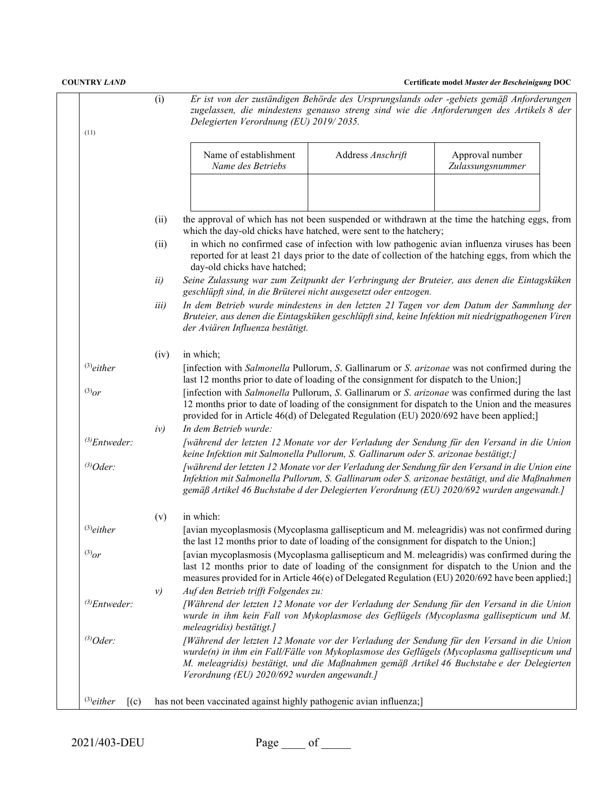| <b>COUNTRY LAND</b>                          |       |                                                                                           |                   | Certificate model Muster der Bescheinigung DOC                                                                                                                                                                                                                                                 |
|----------------------------------------------|-------|-------------------------------------------------------------------------------------------|-------------------|------------------------------------------------------------------------------------------------------------------------------------------------------------------------------------------------------------------------------------------------------------------------------------------------|
|                                              | (i)   | Delegierten Verordnung (EU) 2019/2035.                                                    |                   | Er ist von der zuständigen Behörde des Ursprungslands oder -gebiets gemäß Anforderungen<br>zugelassen, die mindestens genauso streng sind wie die Anforderungen des Artikels 8 der                                                                                                             |
| (11)                                         |       | Name of establishment<br>Name des Betriebs                                                | Address Anschrift | Approval number<br>Zulassungsnummer                                                                                                                                                                                                                                                            |
|                                              |       |                                                                                           |                   |                                                                                                                                                                                                                                                                                                |
|                                              | (ii)  | which the day-old chicks have hatched, were sent to the hatchery;                         |                   | the approval of which has not been suspended or withdrawn at the time the hatching eggs, from                                                                                                                                                                                                  |
|                                              | (ii)  | day-old chicks have hatched;                                                              |                   | in which no confirmed case of infection with low pathogenic avian influenza viruses has been<br>reported for at least 21 days prior to the date of collection of the hatching eggs, from which the                                                                                             |
|                                              | ii)   | geschlüpft sind, in die Brüterei nicht ausgesetzt oder entzogen.                          |                   | Seine Zulassung war zum Zeitpunkt der Verbringung der Bruteier, aus denen die Eintagsküken                                                                                                                                                                                                     |
|                                              | iii)  | der Aviären Influenza bestätigt.                                                          |                   | In dem Betrieb wurde mindestens in den letzten 21 Tagen vor dem Datum der Sammlung der<br>Bruteier, aus denen die Eintagsküken geschlüpft sind, keine Infektion mit niedrigpathogenen Viren                                                                                                    |
|                                              | (iv)  | in which;                                                                                 |                   |                                                                                                                                                                                                                                                                                                |
| $^{(3)}$ either                              |       | last 12 months prior to date of loading of the consignment for dispatch to the Union;]    |                   | [infection with Salmonella Pullorum, S. Gallinarum or S. arizonae was not confirmed during the                                                                                                                                                                                                 |
| $^{(3)}$ or                                  |       | provided for in Article 46(d) of Delegated Regulation (EU) 2020/692 have been applied;]   |                   | [infection with Salmonella Pullorum, S. Gallinarum or S. arizonae was confirmed during the last<br>12 months prior to date of loading of the consignment for dispatch to the Union and the measures                                                                                            |
|                                              | iv)   | In dem Betrieb wurde:                                                                     |                   |                                                                                                                                                                                                                                                                                                |
| $^{(3)}$ Entweder:                           |       | keine Infektion mit Salmonella Pullorum, S. Gallinarum oder S. arizonae bestätigt;]       |                   | [während der letzten 12 Monate vor der Verladung der Sendung für den Versand in die Union                                                                                                                                                                                                      |
| $^{(3)}Oder$ :                               |       |                                                                                           |                   | [während der letzten 12 Monate vor der Verladung der Sendung für den Versand in die Union eine<br>Infektion mit Salmonella Pullorum, S. Gallinarum oder S. arizonae bestätigt, und die Maßnahmen<br>gemäß Artikel 46 Buchstabe d der Delegierten Verordnung (EU) 2020/692 wurden angewandt.]   |
|                                              | (v)   | in which:                                                                                 |                   |                                                                                                                                                                                                                                                                                                |
| $^{(3)}$ either                              |       | the last 12 months prior to date of loading of the consignment for dispatch to the Union; |                   | [avian mycoplasmosis (Mycoplasma gallisepticum and M. meleagridis) was not confirmed during                                                                                                                                                                                                    |
| $^{(3)}$ or                                  |       |                                                                                           |                   | [avian mycoplasmosis (Mycoplasma gallisepticum and M. meleagridis) was confirmed during the<br>last 12 months prior to date of loading of the consignment for dispatch to the Union and the<br>measures provided for in Article 46(e) of Delegated Regulation (EU) 2020/692 have been applied; |
|                                              | $\nu$ | Auf den Betrieb trifft Folgendes zu:                                                      |                   |                                                                                                                                                                                                                                                                                                |
| $^{(3)}$ Entweder:                           |       | meleagridis) bestätigt.]                                                                  |                   | [Während der letzten 12 Monate vor der Verladung der Sendung für den Versand in die Union<br>wurde in ihm kein Fall von Mykoplasmose des Geflügels (Mycoplasma gallisepticum und M.                                                                                                            |
| $^{(3)}Oder$ :                               |       | Verordnung (EU) 2020/692 wurden angewandt.]                                               |                   | [Während der letzten 12 Monate vor der Verladung der Sendung für den Versand in die Union<br>wurde(n) in ihm ein Fall/Fälle von Mykoplasmose des Geflügels (Mycoplasma gallisepticum und<br>M. meleagridis) bestätigt, und die Maßnahmen gemäß Artikel 46 Buchstabe e der Delegierten          |
| $^{(3)}$ either<br>$\mathcal{L}(\mathbf{c})$ |       | has not been vaccinated against highly pathogenic avian influenza;]                       |                   |                                                                                                                                                                                                                                                                                                |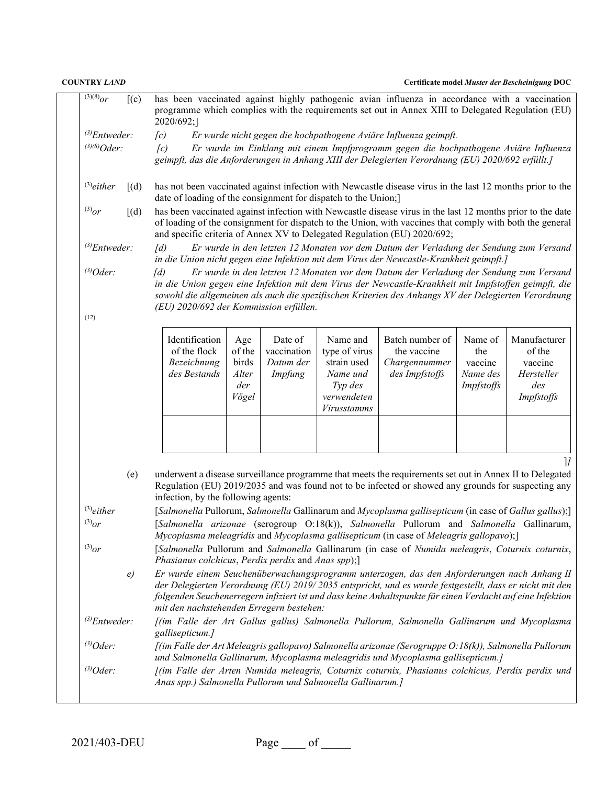| <b>COUNTRY LAND</b><br>Certificate model Muster der Bescheinigung DOC                                                                                                                                                                                                                                                                                                 |                                                                                                                                                                                                                                                              |                                                                |                                                 |                                                |                                                                                                      |                                                                                                                                                                                                                                                                                                        |                                                     |                                                                      |
|-----------------------------------------------------------------------------------------------------------------------------------------------------------------------------------------------------------------------------------------------------------------------------------------------------------------------------------------------------------------------|--------------------------------------------------------------------------------------------------------------------------------------------------------------------------------------------------------------------------------------------------------------|----------------------------------------------------------------|-------------------------------------------------|------------------------------------------------|------------------------------------------------------------------------------------------------------|--------------------------------------------------------------------------------------------------------------------------------------------------------------------------------------------------------------------------------------------------------------------------------------------------------|-----------------------------------------------------|----------------------------------------------------------------------|
| $(3)(8)_{OF}$                                                                                                                                                                                                                                                                                                                                                         | (c)                                                                                                                                                                                                                                                          | 2020/692;]                                                     |                                                 |                                                |                                                                                                      | has been vaccinated against highly pathogenic avian influenza in accordance with a vaccination<br>programme which complies with the requirements set out in Annex XIII to Delegated Regulation (EU)                                                                                                    |                                                     |                                                                      |
| $^{(3)}$ Entweder:                                                                                                                                                                                                                                                                                                                                                    |                                                                                                                                                                                                                                                              | $\left[ c\right)$                                              |                                                 |                                                |                                                                                                      | Er wurde nicht gegen die hochpathogene Aviäre Influenza geimpft.                                                                                                                                                                                                                                       |                                                     |                                                                      |
| $^{(3)(8)}Oder:$                                                                                                                                                                                                                                                                                                                                                      |                                                                                                                                                                                                                                                              | $\sqrt{c}$                                                     |                                                 |                                                |                                                                                                      | Er wurde im Einklang mit einem Impfprogramm gegen die hochpathogene Aviäre Influenza<br>geimpft, das die Anforderungen in Anhang XIII der Delegierten Verordnung (EU) 2020/692 erfüllt.]                                                                                                               |                                                     |                                                                      |
| $^{(3)}$ either                                                                                                                                                                                                                                                                                                                                                       | [(d)]                                                                                                                                                                                                                                                        | date of loading of the consignment for dispatch to the Union;] |                                                 |                                                |                                                                                                      | has not been vaccinated against infection with Newcastle disease virus in the last 12 months prior to the                                                                                                                                                                                              |                                                     |                                                                      |
| $^{(3)}or$                                                                                                                                                                                                                                                                                                                                                            | [(d)]                                                                                                                                                                                                                                                        |                                                                |                                                 |                                                |                                                                                                      | has been vaccinated against infection with Newcastle disease virus in the last 12 months prior to the date<br>of loading of the consignment for dispatch to the Union, with vaccines that comply with both the general<br>and specific criteria of Annex XV to Delegated Regulation (EU) 2020/692;     |                                                     |                                                                      |
| $^{(3)}$ Entweder:                                                                                                                                                                                                                                                                                                                                                    |                                                                                                                                                                                                                                                              | $\overline{d}$                                                 |                                                 |                                                |                                                                                                      | Er wurde in den letzten 12 Monaten vor dem Datum der Verladung der Sendung zum Versand<br>in die Union nicht gegen eine Infektion mit dem Virus der Newcastle-Krankheit geimpft.]                                                                                                                      |                                                     |                                                                      |
| $^{(3)}Oder$ :                                                                                                                                                                                                                                                                                                                                                        |                                                                                                                                                                                                                                                              | $\lceil d \rceil$<br>(EU) 2020/692 der Kommission erfüllen.    |                                                 |                                                |                                                                                                      | Er wurde in den letzten 12 Monaten vor dem Datum der Verladung der Sendung zum Versand<br>in die Union gegen eine Infektion mit dem Virus der Newcastle-Krankheit mit Impfstoffen geimpft, die<br>sowohl die allgemeinen als auch die spezifischen Kriterien des Anhangs XV der Delegierten Verordnung |                                                     |                                                                      |
| (12)                                                                                                                                                                                                                                                                                                                                                                  |                                                                                                                                                                                                                                                              |                                                                |                                                 |                                                |                                                                                                      |                                                                                                                                                                                                                                                                                                        |                                                     |                                                                      |
|                                                                                                                                                                                                                                                                                                                                                                       |                                                                                                                                                                                                                                                              | Identification<br>of the flock<br>Bezeichnung<br>des Bestands  | Age<br>of the<br>birds<br>Alter<br>der<br>Vögel | Date of<br>vaccination<br>Datum der<br>Impfung | Name and<br>type of virus<br>strain used<br>Name und<br>Typ des<br>verwendeten<br><b>Virusstamms</b> | Batch number of<br>the vaccine<br>Chargennummer<br>des Impfstoffs                                                                                                                                                                                                                                      | Name of<br>the<br>vaccine<br>Name des<br>Impfstoffs | Manufacturer<br>of the<br>vaccine<br>Hersteller<br>des<br>Impfstoffs |
|                                                                                                                                                                                                                                                                                                                                                                       |                                                                                                                                                                                                                                                              |                                                                |                                                 |                                                |                                                                                                      |                                                                                                                                                                                                                                                                                                        |                                                     |                                                                      |
|                                                                                                                                                                                                                                                                                                                                                                       | underwent a disease surveillance programme that meets the requirements set out in Annex II to Delegated<br>(e)<br>Regulation (EU) 2019/2035 and was found not to be infected or showed any grounds for suspecting any<br>infection, by the following agents: |                                                                |                                                 |                                                |                                                                                                      |                                                                                                                                                                                                                                                                                                        | 11                                                  |                                                                      |
| $^{(3)}$ either                                                                                                                                                                                                                                                                                                                                                       |                                                                                                                                                                                                                                                              |                                                                |                                                 |                                                |                                                                                                      | [Salmonella Pullorum, Salmonella Gallinarum and Mycoplasma gallisepticum (in case of Gallus gallus);]                                                                                                                                                                                                  |                                                     |                                                                      |
| $^{(3)}$ or                                                                                                                                                                                                                                                                                                                                                           |                                                                                                                                                                                                                                                              |                                                                |                                                 |                                                |                                                                                                      | [Salmonella arizonae (serogroup O:18(k)), Salmonella Pullorum and Salmonella Gallinarum,<br>Mycoplasma meleagridis and Mycoplasma gallisepticum (in case of Meleagris gallopavo);]                                                                                                                     |                                                     |                                                                      |
| $^{(3)}or$                                                                                                                                                                                                                                                                                                                                                            |                                                                                                                                                                                                                                                              | Phasianus colchicus, Perdix perdix and Anas spp);]             |                                                 |                                                |                                                                                                      | [Salmonella Pullorum and Salmonella Gallinarum (in case of Numida meleagris, Coturnix coturnix,                                                                                                                                                                                                        |                                                     |                                                                      |
| Er wurde einem Seuchenüberwachungsprogramm unterzogen, das den Anforderungen nach Anhang II<br>e)<br>der Delegierten Verordnung (EU) 2019/2035 entspricht, und es wurde festgestellt, dass er nicht mit den<br>folgenden Seuchenerregern infiziert ist und dass keine Anhaltspunkte für einen Verdacht auf eine Infektion<br>mit den nachstehenden Erregern bestehen: |                                                                                                                                                                                                                                                              |                                                                |                                                 |                                                |                                                                                                      |                                                                                                                                                                                                                                                                                                        |                                                     |                                                                      |
| $^{(3)}$ Entweder:                                                                                                                                                                                                                                                                                                                                                    |                                                                                                                                                                                                                                                              | gallisepticum.]                                                |                                                 |                                                |                                                                                                      | [(im Falle der Art Gallus gallus) Salmonella Pullorum, Salmonella Gallinarum und Mycoplasma                                                                                                                                                                                                            |                                                     |                                                                      |
| $^{(3)}Oder$ :                                                                                                                                                                                                                                                                                                                                                        |                                                                                                                                                                                                                                                              |                                                                |                                                 |                                                |                                                                                                      | [(im Falle der Art Meleagris gallopavo) Salmonella arizonae (Serogruppe O: 18(k)), Salmonella Pullorum                                                                                                                                                                                                 |                                                     |                                                                      |
| und Salmonella Gallinarum, Mycoplasma meleagridis und Mycoplasma gallisepticum.]<br>$^{(3)}Oder$ :<br>[(im Falle der Arten Numida meleagris, Coturnix coturnix, Phasianus colchicus, Perdix perdix und<br>Anas spp.) Salmonella Pullorum und Salmonella Gallinarum.]                                                                                                  |                                                                                                                                                                                                                                                              |                                                                |                                                 |                                                |                                                                                                      |                                                                                                                                                                                                                                                                                                        |                                                     |                                                                      |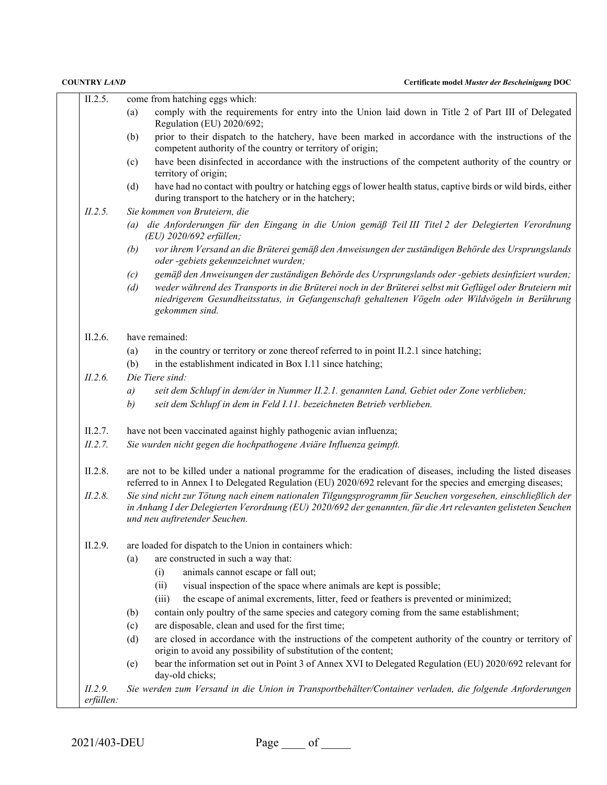| II.2.5.              | come from hatching eggs which:                                                                                                                                                                                                                                |
|----------------------|---------------------------------------------------------------------------------------------------------------------------------------------------------------------------------------------------------------------------------------------------------------|
|                      | comply with the requirements for entry into the Union laid down in Title 2 of Part III of Delegated<br>(a)<br>Regulation (EU) 2020/692;                                                                                                                       |
|                      | prior to their dispatch to the hatchery, have been marked in accordance with the instructions of the<br>(b)<br>competent authority of the country or territory of origin;                                                                                     |
|                      | have been disinfected in accordance with the instructions of the competent authority of the country or<br>(c)<br>territory of origin;                                                                                                                         |
|                      | have had no contact with poultry or hatching eggs of lower health status, captive birds or wild birds, either<br>(d)<br>during transport to the hatchery or in the hatchery;                                                                                  |
| II.2.5.              | Sie kommen von Bruteiern, die                                                                                                                                                                                                                                 |
|                      | (a) die Anforderungen für den Eingang in die Union gemäß Teil III Titel 2 der Delegierten Verordnung<br>(EU) 2020/692 erfüllen;                                                                                                                               |
|                      | vor ihrem Versand an die Brüterei gemäß den Anweisungen der zuständigen Behörde des Ursprungslands<br>(b)<br>oder -gebiets gekennzeichnet wurden;                                                                                                             |
|                      | gemäß den Anweisungen der zuständigen Behörde des Ursprungslands oder -gebiets desinfiziert wurden;<br>(c)                                                                                                                                                    |
|                      | weder während des Transports in die Brüterei noch in der Brüterei selbst mit Geflügel oder Bruteiern mit<br>(d)<br>niedrigerem Gesundheitsstatus, in Gefangenschaft gehaltenen Vögeln oder Wildvögeln in Berührung<br>gekommen sind.                          |
| II.2.6.              | have remained:                                                                                                                                                                                                                                                |
|                      | (a)<br>in the country or territory or zone thereof referred to in point II.2.1 since hatching;                                                                                                                                                                |
|                      | (b)<br>in the establishment indicated in Box I.11 since hatching;                                                                                                                                                                                             |
| II.2.6.              | Die Tiere sind:                                                                                                                                                                                                                                               |
|                      | seit dem Schlupf in dem/der in Nummer II.2.1. genannten Land, Gebiet oder Zone verblieben;<br>a)                                                                                                                                                              |
|                      | seit dem Schlupf in dem in Feld I.11. bezeichneten Betrieb verblieben.<br>b)                                                                                                                                                                                  |
| II.2.7.              | have not been vaccinated against highly pathogenic avian influenza;                                                                                                                                                                                           |
| II.2.7.              | Sie wurden nicht gegen die hochpathogene Aviäre Influenza geimpft.                                                                                                                                                                                            |
| II.2.8.              | are not to be killed under a national programme for the eradication of diseases, including the listed diseases<br>referred to in Annex I to Delegated Regulation (EU) 2020/692 relevant for the species and emerging diseases;                                |
| II.2.8.              | Sie sind nicht zur Tötung nach einem nationalen Tilgungsprogramm für Seuchen vorgesehen, einschließlich der<br>in Anhang I der Delegierten Verordnung (EU) 2020/692 der genannten, für die Art relevanten gelisteten Seuchen<br>und neu auftretender Seuchen. |
| II.2.9.              | are loaded for dispatch to the Union in containers which:                                                                                                                                                                                                     |
|                      | are constructed in such a way that:<br>(a)                                                                                                                                                                                                                    |
|                      | animals cannot escape or fall out;<br>(i)                                                                                                                                                                                                                     |
|                      | visual inspection of the space where animals are kept is possible;<br>(ii)                                                                                                                                                                                    |
|                      | the escape of animal excrements, litter, feed or feathers is prevented or minimized;<br>(iii)                                                                                                                                                                 |
|                      | contain only poultry of the same species and category coming from the same establishment;<br>(b)                                                                                                                                                              |
|                      | are disposable, clean and used for the first time;<br>(c)                                                                                                                                                                                                     |
|                      | are closed in accordance with the instructions of the competent authority of the country or territory of<br>(d)<br>origin to avoid any possibility of substitution of the content;                                                                            |
|                      | bear the information set out in Point 3 of Annex XVI to Delegated Regulation (EU) 2020/692 relevant for<br>(e)<br>day-old chicks;                                                                                                                             |
| II.2.9.<br>erfüllen: | Sie werden zum Versand in die Union in Transportbehälter/Container verladen, die folgende Anforderungen                                                                                                                                                       |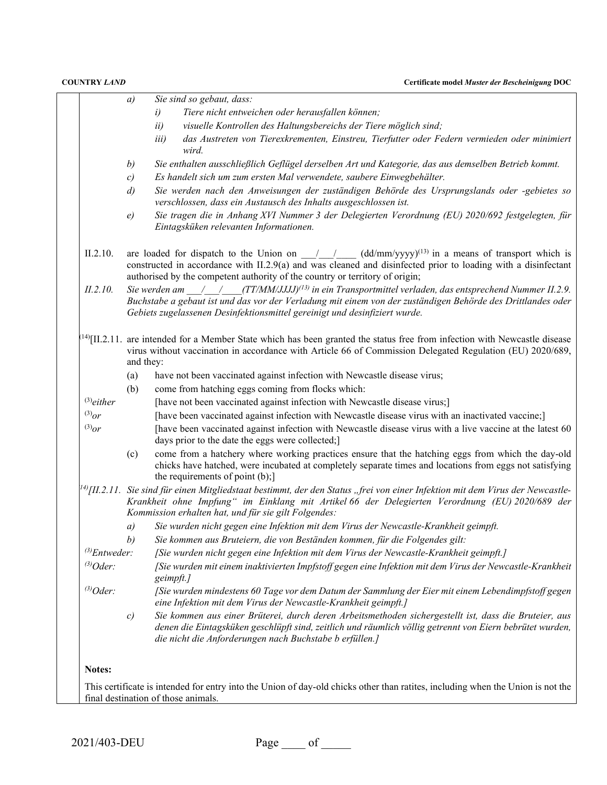| a) | Sie sind so gebaut, dass:                                                                                                                                                                                                                                                                                                                                                                                                                                                                                                                                                                      |
|----|------------------------------------------------------------------------------------------------------------------------------------------------------------------------------------------------------------------------------------------------------------------------------------------------------------------------------------------------------------------------------------------------------------------------------------------------------------------------------------------------------------------------------------------------------------------------------------------------|
|    | Tiere nicht entweichen oder herausfallen können;<br>i)                                                                                                                                                                                                                                                                                                                                                                                                                                                                                                                                         |
|    | visuelle Kontrollen des Haltungsbereichs der Tiere möglich sind;<br>ii)                                                                                                                                                                                                                                                                                                                                                                                                                                                                                                                        |
|    | das Austreten von Tierexkrementen, Einstreu, Tierfutter oder Federn vermieden oder minimiert<br><i>iii</i> )                                                                                                                                                                                                                                                                                                                                                                                                                                                                                   |
|    | wird.                                                                                                                                                                                                                                                                                                                                                                                                                                                                                                                                                                                          |
|    | Sie enthalten ausschließlich Geflügel derselben Art und Kategorie, das aus demselben Betrieb kommt.                                                                                                                                                                                                                                                                                                                                                                                                                                                                                            |
|    | Es handelt sich um zum ersten Mal verwendete, saubere Einwegbehälter.                                                                                                                                                                                                                                                                                                                                                                                                                                                                                                                          |
|    | Sie werden nach den Anweisungen der zuständigen Behörde des Ursprungslands oder -gebietes so<br>verschlossen, dass ein Austausch des Inhalts ausgeschlossen ist.                                                                                                                                                                                                                                                                                                                                                                                                                               |
|    | Sie tragen die in Anhang XVI Nummer 3 der Delegierten Verordnung (EU) 2020/692 festgelegten, für<br>Eintagsküken relevanten Informationen.                                                                                                                                                                                                                                                                                                                                                                                                                                                     |
|    | are loaded for dispatch to the Union on $\frac{1}{\sqrt{1-\frac{1}{\sqrt{1-\frac{1}{\sqrt{1-\frac{1}{\sqrt{1-\frac{1}{\sqrt{1-\frac{1}{\sqrt{1-\frac{1}{\sqrt{1-\frac{1}{\sqrt{1-\frac{1}{\sqrt{1-\frac{1}{\sqrt{1-\frac{1}{\sqrt{1-\frac{1}{\sqrt{1-\frac{1}{\sqrt{1-\frac{1}{\sqrt{1-\frac{1}{\sqrt{1-\frac{1}{\sqrt{1-\frac{1}{\sqrt{1-\frac{1}{\sqrt{1-\frac{1}{\sqrt{1-\frac{1}{\sqrt{1$<br>constructed in accordance with II.2.9(a) and was cleaned and disinfected prior to loading with a disinfectant<br>authorised by the competent authority of the country or territory of origin; |
|    | Sie werden am $\frac{1}{2}$ (TT/MM/JJJJ) <sup>(13)</sup> in ein Transportmittel verladen, das entsprechend Nummer II.2.9.<br>Buchstabe a gebaut ist und das vor der Verladung mit einem von der zuständigen Behörde des Drittlandes oder                                                                                                                                                                                                                                                                                                                                                       |
|    | Gebiets zugelassenen Desinfektionsmittel gereinigt und desinfiziert wurde.                                                                                                                                                                                                                                                                                                                                                                                                                                                                                                                     |
|    | $^{(14)}$ [II.2.11. are intended for a Member State which has been granted the status free from infection with Newcastle disease<br>virus without vaccination in accordance with Article 66 of Commission Delegated Regulation (EU) 2020/689,                                                                                                                                                                                                                                                                                                                                                  |
|    | have not been vaccinated against infection with Newcastle disease virus;                                                                                                                                                                                                                                                                                                                                                                                                                                                                                                                       |
|    | come from hatching eggs coming from flocks which:                                                                                                                                                                                                                                                                                                                                                                                                                                                                                                                                              |
|    | [have not been vaccinated against infection with Newcastle disease virus;]                                                                                                                                                                                                                                                                                                                                                                                                                                                                                                                     |
|    | [have been vaccinated against infection with Newcastle disease virus with an inactivated vaccine;]                                                                                                                                                                                                                                                                                                                                                                                                                                                                                             |
|    | [have been vaccinated against infection with Newcastle disease virus with a live vaccine at the latest 60<br>days prior to the date the eggs were collected;]                                                                                                                                                                                                                                                                                                                                                                                                                                  |
|    | come from a hatchery where working practices ensure that the hatching eggs from which the day-old<br>chicks have hatched, were incubated at completely separate times and locations from eggs not satisfying<br>the requirements of point (b);]                                                                                                                                                                                                                                                                                                                                                |
|    | $^{14}$ [II.2.11. Sie sind für einen Mitgliedstaat bestimmt, der den Status "frei von einer Infektion mit dem Virus der Newcastle-<br>Krankheit ohne Impfung" im Einklang mit Artikel 66 der Delegierten Verordnung (EU) 2020/689 der<br>Kommission erhalten hat, und für sie gilt Folgendes:                                                                                                                                                                                                                                                                                                  |
|    | Sie wurden nicht gegen eine Infektion mit dem Virus der Newcastle-Krankheit geimpft.                                                                                                                                                                                                                                                                                                                                                                                                                                                                                                           |
|    | Sie kommen aus Bruteiern, die von Beständen kommen, für die Folgendes gilt:                                                                                                                                                                                                                                                                                                                                                                                                                                                                                                                    |
|    | [Sie wurden nicht gegen eine Infektion mit dem Virus der Newcastle-Krankheit geimpft.]                                                                                                                                                                                                                                                                                                                                                                                                                                                                                                         |
|    | [Sie wurden mit einem inaktivierten Impfstoff gegen eine Infektion mit dem Virus der Newcastle-Krankheit<br>geimpft.]                                                                                                                                                                                                                                                                                                                                                                                                                                                                          |
|    | [Sie wurden mindestens 60 Tage vor dem Datum der Sammlung der Eier mit einem Lebendimpfstoff gegen<br>eine Infektion mit dem Virus der Newcastle-Krankheit geimpft.]                                                                                                                                                                                                                                                                                                                                                                                                                           |
|    |                                                                                                                                                                                                                                                                                                                                                                                                                                                                                                                                                                                                |
|    | b)<br>$\mathcal{C}$<br>$\left( d\right)$<br>e)<br>and they:<br>(a)<br>(b)<br>(c)<br>a)<br>b)<br>$^{(3)}$ Entweder:                                                                                                                                                                                                                                                                                                                                                                                                                                                                             |

2021/403-DEU Page of \_\_\_\_\_\_ of \_\_\_\_\_\_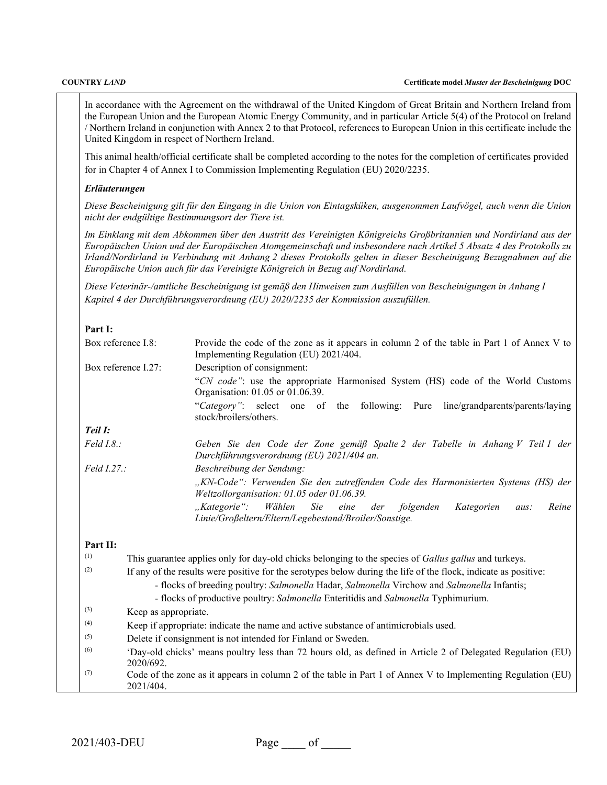In accordance with the Agreement on the withdrawal of the United Kingdom of Great Britain and Northern Ireland from the European Union and the European Atomic Energy Community, and in particular Article 5(4) of the Protocol on Ireland / Northern Ireland in conjunction with Annex 2 to that Protocol, references to European Union in this certificate include the United Kingdom in respect of Northern Ireland.

This animal health/official certificate shall be completed according to the notes for the completion of certificates provided for in Chapter 4 of Annex I to Commission Implementing Regulation (EU) 2020/2235.

### *Erläuterungen*

*Diese Bescheinigung gilt für den Eingang in die Union von Eintagsküken, ausgenommen Laufvögel, auch wenn die Union nicht der endgültige Bestimmungsort der Tiere ist.*

*Im Einklang mit dem Abkommen über den Austritt des Vereinigten Königreichs Großbritannien und Nordirland aus der Europäischen Union und der Europäischen Atomgemeinschaft und insbesondere nach Artikel 5 Absatz 4 des Protokolls zu Irland/Nordirland in Verbindung mit Anhang 2 dieses Protokolls gelten in dieser Bescheinigung Bezugnahmen auf die Europäische Union auch für das Vereinigte Königreich in Bezug auf Nordirland.*

*Diese Veterinär-/amtliche Bescheinigung ist gemäß den Hinweisen zum Ausfüllen von Bescheinigungen in Anhang I Kapitel 4 der Durchführungsverordnung (EU) 2020/2235 der Kommission auszufüllen.*

## **Part I:**

| Box reference I.8:  |                                                                                                                          | Provide the code of the zone as it appears in column 2 of the table in Part 1 of Annex V to<br>Implementing Regulation (EU) 2021/404.               |  |  |  |  |
|---------------------|--------------------------------------------------------------------------------------------------------------------------|-----------------------------------------------------------------------------------------------------------------------------------------------------|--|--|--|--|
| Box reference I.27: |                                                                                                                          | Description of consignment:                                                                                                                         |  |  |  |  |
|                     |                                                                                                                          | "CN code": use the appropriate Harmonised System (HS) code of the World Customs<br>Organisation: 01.05 or 01.06.39.                                 |  |  |  |  |
|                     |                                                                                                                          | "Category": select one of the following: Pure line/grandparents/parents/laying<br>stock/broilers/others.                                            |  |  |  |  |
| Teil I:             |                                                                                                                          |                                                                                                                                                     |  |  |  |  |
| $Field I.8.$ :      |                                                                                                                          | Geben Sie den Code der Zone gemäß Spalte 2 der Tabelle in Anhang V Teil 1 der<br>Durchführungsverordnung (EU) 2021/404 an.                          |  |  |  |  |
| Field I.27.:        |                                                                                                                          | Beschreibung der Sendung:                                                                                                                           |  |  |  |  |
|                     |                                                                                                                          | "KN-Code": Verwenden Sie den zutreffenden Code des Harmonisierten Systems (HS) der<br>Weltzollorganisation: 01.05 oder 01.06.39.                    |  |  |  |  |
|                     |                                                                                                                          | Sie<br>$Kategorie$ ":<br>Wählen<br>folgenden<br>Kategorien<br>eine<br>der<br>Reine<br>aus:<br>Linie/Großeltern/Eltern/Legebestand/Broiler/Sonstige. |  |  |  |  |
| Part II:            |                                                                                                                          |                                                                                                                                                     |  |  |  |  |
| (1)                 |                                                                                                                          | This guarantee applies only for day-old chicks belonging to the species of <i>Gallus gallus</i> and turkeys.                                        |  |  |  |  |
| (2)                 |                                                                                                                          | If any of the results were positive for the serotypes below during the life of the flock, indicate as positive:                                     |  |  |  |  |
|                     |                                                                                                                          | - flocks of breeding poultry: Salmonella Hadar, Salmonella Virchow and Salmonella Infantis;                                                         |  |  |  |  |
|                     |                                                                                                                          | - flocks of productive poultry: Salmonella Enteritidis and Salmonella Typhimurium.                                                                  |  |  |  |  |
| (3)                 | Keep as appropriate.                                                                                                     |                                                                                                                                                     |  |  |  |  |
| (4)                 |                                                                                                                          | Keep if appropriate: indicate the name and active substance of antimicrobials used.                                                                 |  |  |  |  |
| (5)                 |                                                                                                                          | Delete if consignment is not intended for Finland or Sweden.                                                                                        |  |  |  |  |
| (6)                 | 'Day-old chicks' means poultry less than 72 hours old, as defined in Article 2 of Delegated Regulation (EU)<br>2020/692. |                                                                                                                                                     |  |  |  |  |
| (7)                 | 2021/404.                                                                                                                | Code of the zone as it appears in column 2 of the table in Part 1 of Annex V to Implementing Regulation (EU)                                        |  |  |  |  |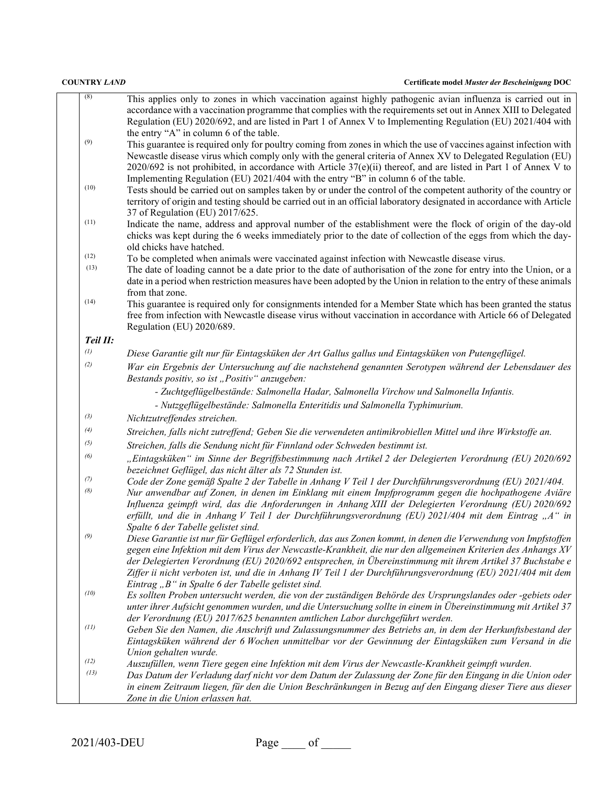| (8)      | This applies only to zones in which vaccination against highly pathogenic avian influenza is carried out in           |
|----------|-----------------------------------------------------------------------------------------------------------------------|
|          |                                                                                                                       |
|          | accordance with a vaccination programme that complies with the requirements set out in Annex XIII to Delegated        |
|          | Regulation (EU) 2020/692, and are listed in Part 1 of Annex V to Implementing Regulation (EU) 2021/404 with           |
|          | the entry "A" in column 6 of the table.                                                                               |
| (9)      | This guarantee is required only for poultry coming from zones in which the use of vaccines against infection with     |
|          | Newcastle disease virus which comply only with the general criteria of Annex XV to Delegated Regulation (EU)          |
|          | $2020/692$ is not prohibited, in accordance with Article $37(e)(ii)$ thereof, and are listed in Part 1 of Annex V to  |
|          | Implementing Regulation (EU) 2021/404 with the entry "B" in column 6 of the table.                                    |
| (10)     |                                                                                                                       |
|          | Tests should be carried out on samples taken by or under the control of the competent authority of the country or     |
|          | territory of origin and testing should be carried out in an official laboratory designated in accordance with Article |
|          | 37 of Regulation (EU) 2017/625.                                                                                       |
| (11)     | Indicate the name, address and approval number of the establishment were the flock of origin of the day-old           |
|          | chicks was kept during the 6 weeks immediately prior to the date of collection of the eggs from which the day-        |
|          | old chicks have hatched.                                                                                              |
| (12)     | To be completed when animals were vaccinated against infection with Newcastle disease virus.                          |
| (13)     | The date of loading cannot be a date prior to the date of authorisation of the zone for entry into the Union, or a    |
|          | date in a period when restriction measures have been adopted by the Union in relation to the entry of these animals   |
|          |                                                                                                                       |
| (14)     | from that zone.                                                                                                       |
|          | This guarantee is required only for consignments intended for a Member State which has been granted the status        |
|          | free from infection with Newcastle disease virus without vaccination in accordance with Article 66 of Delegated       |
|          | Regulation (EU) 2020/689.                                                                                             |
| Teil II: |                                                                                                                       |
| (1)      | Diese Garantie gilt nur für Eintagsküken der Art Gallus gallus und Eintagsküken von Putengeflügel.                    |
| (2)      | War ein Ergebnis der Untersuchung auf die nachstehend genannten Serotypen während der Lebensdauer des                 |
|          | Bestands positiv, so ist "Positiv" anzugeben:                                                                         |
|          |                                                                                                                       |
|          | - Zuchtgeflügelbestände: Salmonella Hadar, Salmonella Virchow und Salmonella Infantis.                                |
|          | - Nutzgeflügelbestände: Salmonella Enteritidis und Salmonella Typhimurium.                                            |
| (3)      | Nichtzutreffendes streichen.                                                                                          |
| (4)      | Streichen, falls nicht zutreffend; Geben Sie die verwendeten antimikrobiellen Mittel und ihre Wirkstoffe an.          |
| (5)      | Streichen, falls die Sendung nicht für Finnland oder Schweden bestimmt ist.                                           |
| (6)      | "Eintagsküken" im Sinne der Begriffsbestimmung nach Artikel 2 der Delegierten Verordnung (EU) 2020/692                |
|          | bezeichnet Geflügel, das nicht älter als 72 Stunden ist.                                                              |
| (7)      | Code der Zone gemäß Spalte 2 der Tabelle in Anhang V Teil 1 der Durchführungsverordnung (EU) 2021/404.                |
| (8)      | Nur anwendbar auf Zonen, in denen im Einklang mit einem Impfprogramm gegen die hochpathogene Aviäre                   |
|          | Influenza geimpft wird, das die Anforderungen in Anhang XIII der Delegierten Verordnung (EU) 2020/692                 |
|          |                                                                                                                       |
|          | erfüllt, und die in Anhang V Teil 1 der Durchführungsverordnung (EU) 2021/404 mit dem Eintrag "A" in                  |
| (9)      | Spalte 6 der Tabelle gelistet sind.                                                                                   |
|          | Diese Garantie ist nur für Geflügel erforderlich, das aus Zonen kommt, in denen die Verwendung von Impfstoffen        |
|          | gegen eine Infektion mit dem Virus der Newcastle-Krankheit, die nur den allgemeinen Kriterien des Anhangs XV          |
|          | der Delegierten Verordnung (EU) 2020/692 entsprechen, in Übereinstimmung mit ihrem Artikel 37 Buchstabe e             |
|          | Ziffer ii nicht verboten ist, und die in Anhang IV Teil 1 der Durchführungsverordnung (EU) 2021/404 mit dem           |
|          | Eintrag "B" in Spalte 6 der Tabelle gelistet sind.                                                                    |
| (10)     | Es sollten Proben untersucht werden, die von der zuständigen Behörde des Ursprungslandes oder -gebiets oder           |
|          | unter ihrer Aufsicht genommen wurden, und die Untersuchung sollte in einem in Übereinstimmung mit Artikel 37          |
|          | der Verordnung (EU) 2017/625 benannten amtlichen Labor durchgeführt werden.                                           |
| (11)     | Geben Sie den Namen, die Anschrift und Zulassungsnummer des Betriebs an, in dem der Herkunftsbestand der              |
|          | Eintagsküken während der 6 Wochen unmittelbar vor der Gewinnung der Eintagsküken zum Versand in die                   |
|          | Union gehalten wurde.                                                                                                 |
| (12)     | Auszufüllen, wenn Tiere gegen eine Infektion mit dem Virus der Newcastle-Krankheit geimpft wurden.                    |
| (13)     | Das Datum der Verladung darf nicht vor dem Datum der Zulassung der Zone für den Eingang in die Union oder             |
|          |                                                                                                                       |
|          | in einem Zeitraum liegen, für den die Union Beschränkungen in Bezug auf den Eingang dieser Tiere aus dieser           |
|          | Zone in die Union erlassen hat.                                                                                       |

2021/403-DEU Page of <u>Canadian Page</u> of 2021/403-DEU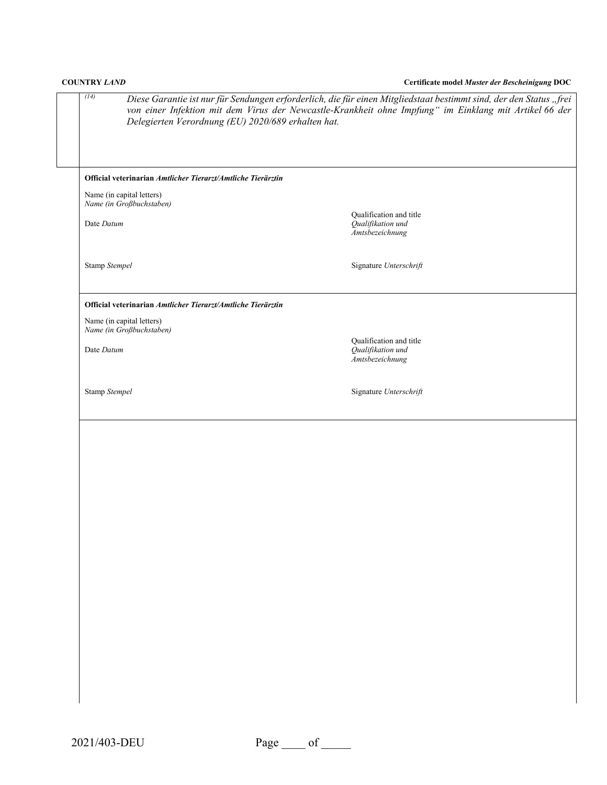| <b>COUNTRY LAND</b>                                                                       | Certificate model Muster der Bescheinigung DOC                                                                                                                                                                               |
|-------------------------------------------------------------------------------------------|------------------------------------------------------------------------------------------------------------------------------------------------------------------------------------------------------------------------------|
| (14)<br>Delegierten Verordnung (EU) 2020/689 erhalten hat.                                | Diese Garantie ist nur für Sendungen erforderlich, die für einen Mitgliedstaat bestimmt sind, der den Status "frei<br>von einer Infektion mit dem Virus der Newcastle-Krankheit ohne Impfung" im Einklang mit Artikel 66 der |
| Official veterinarian Amtlicher Tierarzt/Amtliche Tierärztin<br>Name (in capital letters) |                                                                                                                                                                                                                              |
| Name (in Großbuchstaben)<br>Date Datum                                                    | Qualification and title<br>Qualifikation und<br><i>Amtsbezeichnung</i>                                                                                                                                                       |
| Stamp Stempel                                                                             | Signature Unterschrift                                                                                                                                                                                                       |
| Official veterinarian Amtlicher Tierarzt/Amtliche Tierärztin<br>Name (in capital letters) |                                                                                                                                                                                                                              |
| Name (in Großbuchstaben)<br>Date Datum                                                    | Qualification and title<br>Qualifikation und<br>Amtsbezeichnung                                                                                                                                                              |
| Stamp Stempel                                                                             | Signature Unterschrift                                                                                                                                                                                                       |
|                                                                                           |                                                                                                                                                                                                                              |
|                                                                                           |                                                                                                                                                                                                                              |
|                                                                                           |                                                                                                                                                                                                                              |
|                                                                                           |                                                                                                                                                                                                                              |
|                                                                                           |                                                                                                                                                                                                                              |
|                                                                                           |                                                                                                                                                                                                                              |
|                                                                                           |                                                                                                                                                                                                                              |
|                                                                                           |                                                                                                                                                                                                                              |